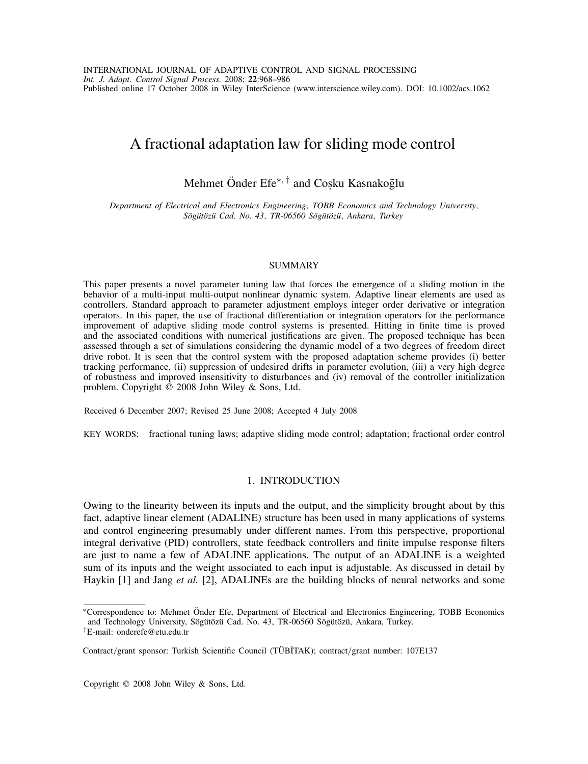# A fractional adaptation law for sliding mode control

# Mehmet Önder Efe<sup>∗, †</sup> and Cosku Kasnakoğlu

*Department of Electrical and Electronics Engineering, TOBB Economics and Technology University, Sog¨ ut¨ oz¨ u Cad. No. 43 ¨ , TR-06560 Sog¨ ut¨ oz¨ u¨, Ankara, Turkey*

## **SUMMARY**

This paper presents a novel parameter tuning law that forces the emergence of a sliding motion in the behavior of a multi-input multi-output nonlinear dynamic system. Adaptive linear elements are used as controllers. Standard approach to parameter adjustment employs integer order derivative or integration operators. In this paper, the use of fractional differentiation or integration operators for the performance improvement of adaptive sliding mode control systems is presented. Hitting in finite time is proved and the associated conditions with numerical justifications are given. The proposed technique has been assessed through a set of simulations considering the dynamic model of a two degrees of freedom direct drive robot. It is seen that the control system with the proposed adaptation scheme provides (i) better tracking performance, (ii) suppression of undesired drifts in parameter evolution, (iii) a very high degree of robustness and improved insensitivity to disturbances and (iv) removal of the controller initialization problem. Copyright  $\overline{\odot}$  2008 John Wiley & Sons, Ltd.

Received 6 December 2007; Revised 25 June 2008; Accepted 4 July 2008

KEY WORDS: fractional tuning laws; adaptive sliding mode control; adaptation; fractional order control

# 1. INTRODUCTION

Owing to the linearity between its inputs and the output, and the simplicity brought about by this fact, adaptive linear element (ADALINE) structure has been used in many applications of systems and control engineering presumably under different names. From this perspective, proportional integral derivative (PID) controllers, state feedback controllers and finite impulse response filters are just to name a few of ADALINE applications. The output of an ADALINE is a weighted sum of its inputs and the weight associated to each input is adjustable. As discussed in detail by Haykin [1] and Jang *et al.* [2], ADALINEs are the building blocks of neural networks and some

Copyright  $©$  2008 John Wiley & Sons, Ltd.

<sup>∗</sup>Correspondence to: Mehmet Onder Efe, Department of Electrical and Electronics Engineering, TOBB Economics ¨ and Technology University, Sögütözü Cad. No. 43, TR-06560 Sögütözü, Ankara, Turkey.

*<sup>†</sup>*E-mail: onderefe@etu.edu.tr

Contract/grant sponsor: Turkish Scientific Council (TÜBİTAK); contract/grant number: 107E137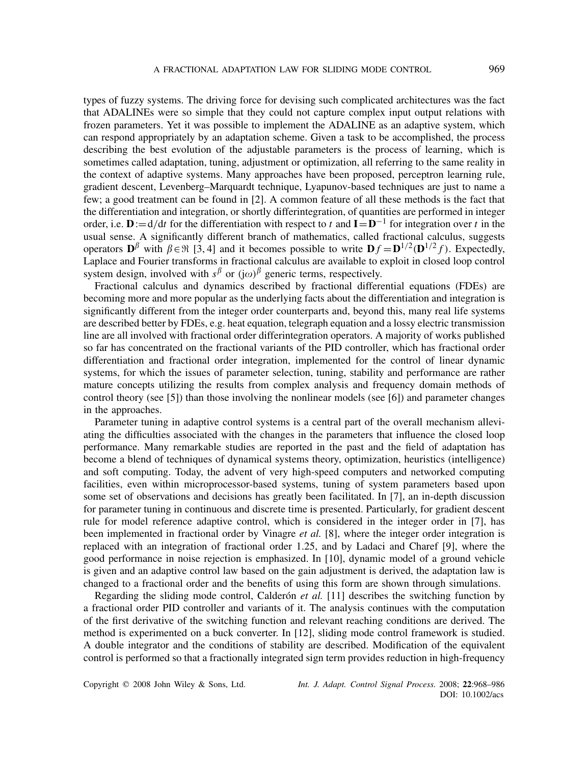types of fuzzy systems. The driving force for devising such complicated architectures was the fact that ADALINEs were so simple that they could not capture complex input output relations with frozen parameters. Yet it was possible to implement the ADALINE as an adaptive system, which can respond appropriately by an adaptation scheme. Given a task to be accomplished, the process describing the best evolution of the adjustable parameters is the process of learning, which is sometimes called adaptation, tuning, adjustment or optimization, all referring to the same reality in the context of adaptive systems. Many approaches have been proposed, perceptron learning rule, gradient descent, Levenberg–Marquardt technique, Lyapunov-based techniques are just to name a few; a good treatment can be found in [2]. A common feature of all these methods is the fact that the differentiation and integration, or shortly differintegration, of quantities are performed in integer order, i.e.  $\mathbf{D}:=d/dt$  for the differentiation with respect to *t* and  $\mathbf{I}=\mathbf{D}^{-1}$  for integration over *t* in the usual sense. A significantly different branch of mathematics, called fractional calculus, suggests operators  $\mathbf{D}^{\beta}$  with  $\beta \in \mathbb{R}$  [3, 4] and it becomes possible to write  $\mathbf{D} f = \mathbf{D}^{1/2}(\mathbf{D}^{1/2} f)$ . Expectedly, Laplace and Fourier transforms in fractional calculus are available to exploit in closed loop control system design, involved with  $s^{\beta}$  or  $(j\omega)^{\beta}$  generic terms, respectively.

Fractional calculus and dynamics described by fractional differential equations (FDEs) are becoming more and more popular as the underlying facts about the differentiation and integration is significantly different from the integer order counterparts and, beyond this, many real life systems are described better by FDEs, e.g. heat equation, telegraph equation and a lossy electric transmission line are all involved with fractional order differintegration operators. A majority of works published so far has concentrated on the fractional variants of the PID controller, which has fractional order differentiation and fractional order integration, implemented for the control of linear dynamic systems, for which the issues of parameter selection, tuning, stability and performance are rather mature concepts utilizing the results from complex analysis and frequency domain methods of control theory (see [5]) than those involving the nonlinear models (see [6]) and parameter changes in the approaches.

Parameter tuning in adaptive control systems is a central part of the overall mechanism alleviating the difficulties associated with the changes in the parameters that influence the closed loop performance. Many remarkable studies are reported in the past and the field of adaptation has become a blend of techniques of dynamical systems theory, optimization, heuristics (intelligence) and soft computing. Today, the advent of very high-speed computers and networked computing facilities, even within microprocessor-based systems, tuning of system parameters based upon some set of observations and decisions has greatly been facilitated. In [7], an in-depth discussion for parameter tuning in continuous and discrete time is presented. Particularly, for gradient descent rule for model reference adaptive control, which is considered in the integer order in [7], has been implemented in fractional order by Vinagre *et al.* [8], where the integer order integration is replaced with an integration of fractional order 1.25, and by Ladaci and Charef [9], where the good performance in noise rejection is emphasized. In [10], dynamic model of a ground vehicle is given and an adaptive control law based on the gain adjustment is derived, the adaptation law is changed to a fractional order and the benefits of using this form are shown through simulations.

Regarding the sliding mode control, Calderón *et al.* [11] describes the switching function by a fractional order PID controller and variants of it. The analysis continues with the computation of the first derivative of the switching function and relevant reaching conditions are derived. The method is experimented on a buck converter. In [12], sliding mode control framework is studied. A double integrator and the conditions of stability are described. Modification of the equivalent control is performed so that a fractionally integrated sign term provides reduction in high-frequency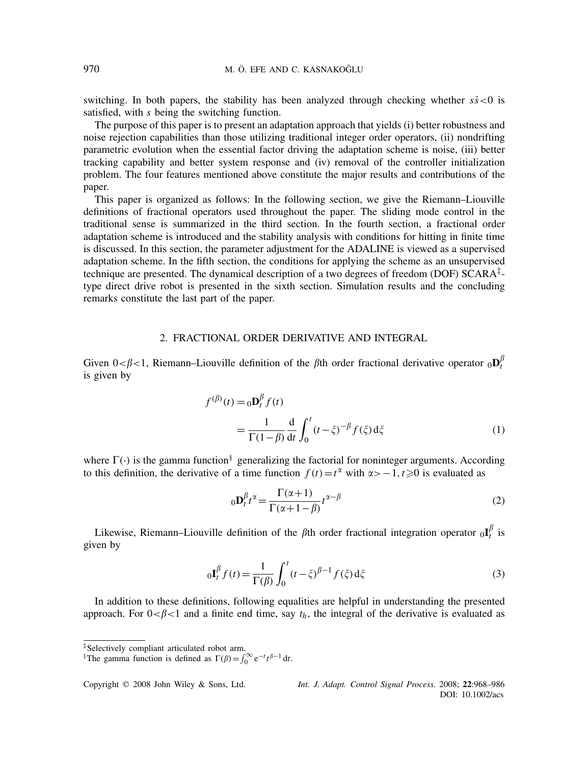switching. In both papers, the stability has been analyzed through checking whether  $s\dot{s}$ <0 is satisfied, with *s* being the switching function.

The purpose of this paper is to present an adaptation approach that yields (i) better robustness and noise rejection capabilities than those utilizing traditional integer order operators, (ii) nondrifting parametric evolution when the essential factor driving the adaptation scheme is noise, (iii) better tracking capability and better system response and (iv) removal of the controller initialization problem. The four features mentioned above constitute the major results and contributions of the paper.

This paper is organized as follows: In the following section, we give the Riemann–Liouville definitions of fractional operators used throughout the paper. The sliding mode control in the traditional sense is summarized in the third section. In the fourth section, a fractional order adaptation scheme is introduced and the stability analysis with conditions for hitting in finite time is discussed. In this section, the parameter adjustment for the ADALINE is viewed as a supervised adaptation scheme. In the fifth section, the conditions for applying the scheme as an unsupervised technique are presented. The dynamical description of a two degrees of freedom (DOF) SCARA*‡* type direct drive robot is presented in the sixth section. Simulation results and the concluding remarks constitute the last part of the paper.

# 2. FRACTIONAL ORDER DERIVATIVE AND INTEGRAL

Given  $0 < \beta < 1$ , Riemann–Liouville definition of the  $\beta$ th order fractional derivative operator  $_0\mathbf{D}_t^{\beta}$ is given by

$$
f^{(\beta)}(t) = {}_0\mathbf{D}_t^{\beta} f(t)
$$
  
= 
$$
\frac{1}{\Gamma(1-\beta)} \frac{d}{dt} \int_0^t (t-\xi)^{-\beta} f(\xi) d\xi
$$
 (1)

where  $\Gamma(\cdot)$  is the gamma function<sup>§</sup> generalizing the factorial for noninteger arguments. According to this definition, the derivative of a time function  $f(t) = t^{\alpha}$  with  $\alpha > -1, t \ge 0$  is evaluated as

$$
{}_{0}\mathbf{D}_{t}^{\beta}t^{\alpha} = \frac{\Gamma(\alpha+1)}{\Gamma(\alpha+1-\beta)}t^{\alpha-\beta}
$$
 (2)

Likewise, Riemann–Liouville definition of the  $\beta$ th order fractional integration operator  ${}_{0}I_{t}^{\beta}$  is given by

$$
{}_{0}\mathbf{I}_{t}^{\beta}f(t) = \frac{1}{\Gamma(\beta)} \int_{0}^{t} (t - \xi)^{\beta - 1} f(\xi) d\xi
$$
 (3)

In addition to these definitions, following equalities are helpful in understanding the presented approach. For  $0 < \beta < 1$  and a finite end time, say  $t_h$ , the integral of the derivative is evaluated as

*<sup>‡</sup>*Selectively compliant articulated robot arm.

<sup>§</sup>The gamma function is defined as  $\Gamma(\beta) = \int_0^\infty e^{-t} t^{\beta-1} dt$ .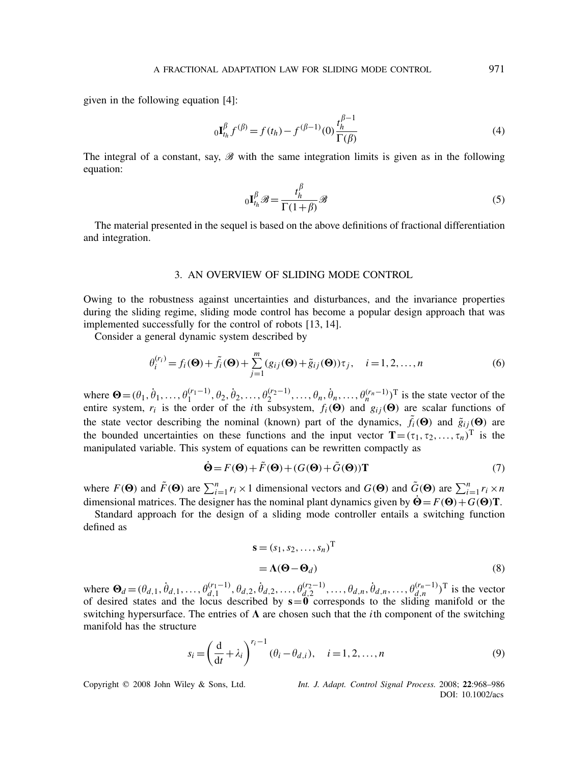given in the following equation [4]:

$$
{}_{0}\mathbf{I}_{t_{h}}^{\beta} f^{(\beta)} = f(t_{h}) - f^{(\beta - 1)}(0) \frac{t_{h}^{\beta - 1}}{\Gamma(\beta)}
$$
(4)

The integral of a constant, say,  $\mathscr B$  with the same integration limits is given as in the following equation:

$$
{}_{0}\mathbf{I}_{t_{h}}^{\beta}\mathscr{B}=\frac{t_{h}^{\beta}}{\Gamma(1+\beta)}\mathscr{B}
$$
\n<sup>(5)</sup>

The material presented in the sequel is based on the above definitions of fractional differentiation and integration.

## 3. AN OVERVIEW OF SLIDING MODE CONTROL

Owing to the robustness against uncertainties and disturbances, and the invariance properties during the sliding regime, sliding mode control has become a popular design approach that was implemented successfully for the control of robots [13, 14].

Consider a general dynamic system described by

$$
\theta_i^{(r_i)} = f_i(\mathbf{\Theta}) + \tilde{f}_i(\mathbf{\Theta}) + \sum_{j=1}^m (g_{ij}(\mathbf{\Theta}) + \tilde{g}_{ij}(\mathbf{\Theta})) \tau_j, \quad i = 1, 2, \dots, n
$$
\n(6)

where  $\mathbf{\Theta} = (\theta_1, \theta_1, ..., \theta_1^{(r_1-1)}, \theta_2, \theta_2, ..., \theta_2^{(r_2-1)}, ..., \theta_n, \theta_n, ..., \theta_n^{(r_n-1)})^T$  is the state vector of the entire system,  $r_i$  is the order of the *i*th subsystem,  $f_i(\mathbf{\Theta})$  and  $g_{ij}(\mathbf{\Theta})$  are scalar functions of the state vector describing the nominal (known) part of the dynamics,  $\tilde{f}_i(\Theta)$  and  $\tilde{g}_{ij}(\Theta)$  are the bounded uncertainties on these functions and the input vector  $\mathbf{T}=(\tau_1, \tau_2, \ldots, \tau_n)^T$  is the manipulated variable. This system of equations can be rewritten compactly as

$$
\dot{\mathbf{\Theta}} = F(\mathbf{\Theta}) + \tilde{F}(\mathbf{\Theta}) + (G(\mathbf{\Theta}) + \tilde{G}(\mathbf{\Theta}))\mathbf{T} \tag{7}
$$

where  $F(\mathbf{\Theta})$  and  $\tilde{F}(\mathbf{\Theta})$  are  $\sum_{i=1}^{n} r_i \times 1$  dimensional vectors and  $G(\mathbf{\Theta})$  and  $\tilde{G}(\mathbf{\Theta})$  are  $\sum_{i=1}^{n} r_i \times n$ dimensional matrices. The designer has the nominal plant dynamics given by  $\dot{\mathbf{\Theta}} = F(\mathbf{\Theta}) + G(\mathbf{\Theta})\mathbf{T}$ .

Standard approach for the design of a sliding mode controller entails a switching function defined as

$$
\mathbf{s} = (s_1, s_2, \dots, s_n)^{\mathrm{T}}
$$
  
=  $\Lambda(\mathbf{\Theta} - \mathbf{\Theta}_d)$  (8)

where  $\mathbf{\Theta}_d = (\theta_{d,1}, \dot{\theta}_{d,1}, \dots, \theta_{d,1}^{(r_1-1)}, \theta_{d,2}, \dot{\theta}_{d,2}, \dots, \theta_{d,2}^{(r_2-1)}, \dots, \theta_{d,n}, \dot{\theta}_{d,n}, \dots, \theta_{d,n}^{(r_n-1)})^{\text{T}}$  is the vector of desired states and the locus described by  $s=0$  corresponds to the sliding manifold or the switching hypersurface. The entries of  $\Lambda$  are chosen such that the *i*th component of the switching manifold has the structure

$$
s_i = \left(\frac{d}{dt} + \lambda_i\right)^{r_i - 1} (\theta_i - \theta_{d,i}), \quad i = 1, 2, ..., n
$$
 (9)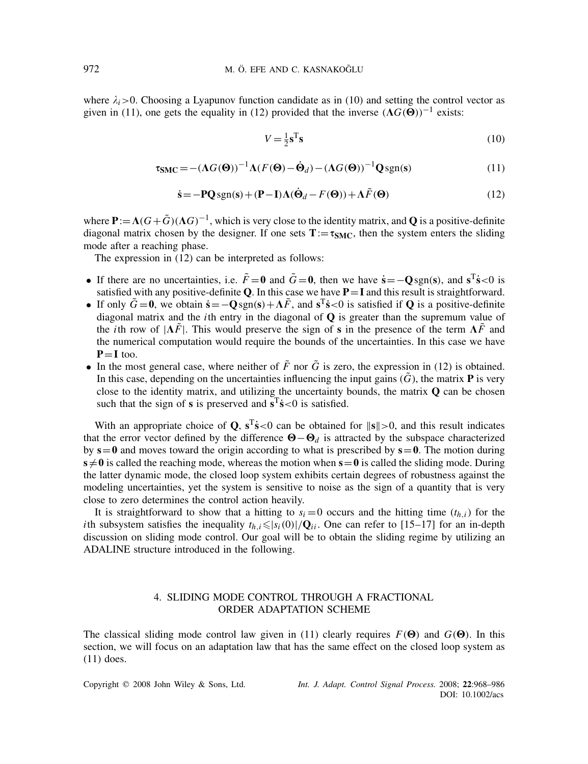where  $\lambda_i$  > 0. Choosing a Lyapunov function candidate as in (10) and setting the control vector as given in (11), one gets the equality in (12) provided that the inverse  $(\Lambda G(\vec{\Theta}))^{-1}$  exists:

$$
V = \frac{1}{2}\mathbf{s}^{\mathrm{T}}\mathbf{s} \tag{10}
$$

$$
\tau_{\text{SMC}} = -(\Lambda G(\Theta))^{-1} \Lambda (F(\Theta) - \dot{\Theta}_d) - (\Lambda G(\Theta))^{-1} Q \,\text{sgn(s)}\tag{11}
$$

$$
\dot{\mathbf{s}} = -\mathbf{P} \mathbf{Q} \operatorname{sgn}(\mathbf{s}) + (\mathbf{P} - \mathbf{I}) \Lambda (\dot{\mathbf{\Theta}}_d - F(\mathbf{\Theta})) + \Lambda \tilde{F}(\mathbf{\Theta}) \tag{12}
$$

where  $P := \Lambda(G + \tilde{G})(\Lambda G)^{-1}$ , which is very close to the identity matrix, and **Q** is a positive-definite diagonal matrix chosen by the designer. If one sets  $T := \tau_{SMC}$ , then the system enters the sliding mode after a reaching phase.

The expression in (12) can be interpreted as follows:

- If there are no uncertainties, i.e.  $\tilde{F} = 0$  and  $\tilde{G} = 0$ , then we have  $\dot{s} = -0 \text{sgn(s)}$ , and  $s^T\dot{s} < 0$  is satisfied with any positive-definite **Q**. In this case we have **P**=**I** and this result is straightforward.
- If only  $\tilde{G} = 0$ , we obtain  $\dot{s} = -\mathbf{O} sgn(s) + A\tilde{F}$ , and  $s^T\dot{s} < 0$  is satisfied if **Q** is a positive-definite diagonal matrix and the *i*th entry in the diagonal of **Q** is greater than the supremum value of the *i*th row of  $|\Lambda \tilde{F}|$ . This would preserve the sign of **s** in the presence of the term  $\Lambda \tilde{F}$  and the numerical computation would require the bounds of the uncertainties. In this case we have  $P = I$  too.
- In the most general case, where neither of  $\tilde{F}$  nor  $\tilde{G}$  is zero, the expression in (12) is obtained. In this case, depending on the uncertainties influencing the input gains  $(\tilde{G})$ , the matrix **P** is very close to the identity matrix, and utilizing the uncertainty bounds, the matrix **Q** can be chosen such that the sign of **s** is preserved and  $\overline{s}^T\overline{s}$  < 0 is satisfied.

With an appropriate choice of **Q**,  $s^T\hat{s}$ <0 can be obtained for  $||s|| > 0$ , and this result indicates that the error vector defined by the difference  $\mathbf{\Theta}-\mathbf{\Theta}_d$  is attracted by the subspace characterized by  $s=0$  and moves toward the origin according to what is prescribed by  $s=0$ . The motion during  $s \neq 0$  is called the reaching mode, whereas the motion when  $s = 0$  is called the sliding mode. During the latter dynamic mode, the closed loop system exhibits certain degrees of robustness against the modeling uncertainties, yet the system is sensitive to noise as the sign of a quantity that is very close to zero determines the control action heavily.

It is straightforward to show that a hitting to  $s_i = 0$  occurs and the hitting time  $(t_{h,i})$  for the *i*th subsystem satisfies the inequality  $t_{h,i} \leq |s_i(0)|/\mathbf{Q}_{ii}$ . One can refer to [15–17] for an in-depth discussion on sliding mode control. Our goal will be to obtain the sliding regime by utilizing an ADALINE structure introduced in the following.

# 4. SLIDING MODE CONTROL THROUGH A FRACTIONAL ORDER ADAPTATION SCHEME

The classical sliding mode control law given in (11) clearly requires  $F(\Theta)$  and  $G(\Theta)$ . In this section, we will focus on an adaptation law that has the same effect on the closed loop system as (11) does.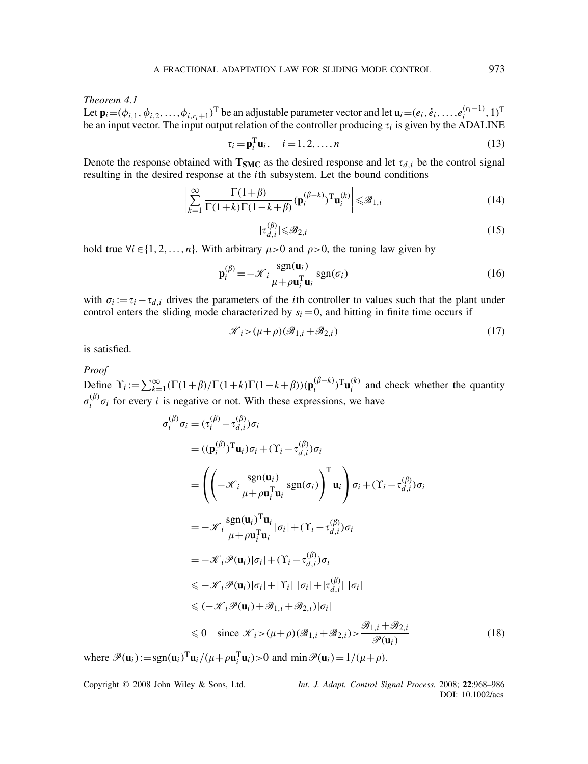*Theorem 4.1* Let  $\mathbf{p}_i = (\phi_{i,1}, \phi_{i,2}, \dots, \phi_{i,r_i+1})^\text{T}$  be an adjustable parameter vector and let  $\mathbf{u}_i = (e_i, e_i, \dots, e_i^{(r_i-1)}, 1)^\text{T}$ be an input vector. The input output relation of the controller producing  $\tau_i$  is given by the ADALINE

$$
\tau_i = \mathbf{p}_i^{\mathrm{T}} \mathbf{u}_i, \quad i = 1, 2, \dots, n
$$
\n(13)

Denote the response obtained with  $\mathbf{T}_{\text{SMC}}$  as the desired response and let  $\tau_{d,i}$  be the control signal resulting in the desired response at the *i*th subsystem. Let the bound conditions

$$
\left| \sum_{k=1}^{\infty} \frac{\Gamma(1+\beta)}{\Gamma(1+k)\Gamma(1-k+\beta)} (\mathbf{p}_i^{(\beta-k)})^{\mathrm{T}} \mathbf{u}_i^{(k)} \right| \leq \mathcal{B}_{1,i}
$$
(14)

$$
|\tau_{d,i}^{(\beta)}| \leq \mathcal{B}_{2,i} \tag{15}
$$

hold true  $\forall i \in \{1, 2, ..., n\}$ . With arbitrary  $\mu > 0$  and  $\rho > 0$ , the tuning law given by

$$
\mathbf{p}_i^{(\beta)} = -\mathcal{K}_i \frac{\text{sgn}(\mathbf{u}_i)}{\mu + \rho \mathbf{u}_i^{\mathrm{T}} \mathbf{u}_i} \text{sgn}(\sigma_i)
$$
(16)

with  $\sigma_i := \tau_i - \tau_{d,i}$  drives the parameters of the *i*th controller to values such that the plant under control enters the sliding mode characterized by  $s_i = 0$ , and hitting in finite time occurs if

$$
\mathcal{K}_i > (\mu + \rho)(\mathcal{B}_{1,i} + \mathcal{B}_{2,i})
$$
\n<sup>(17)</sup>

is satisfied.

*Proof*

Define  $\Upsilon_i := \sum_{k=1}^{\infty} (\Gamma(1+\beta)/\Gamma(1+k)\Gamma(1-k+\beta)) (\mathbf{p}_i^{(\beta-k)})^T \mathbf{u}_i^{(k)}$  and check whether the quantity  $\sigma_i^{(\beta)} \sigma_i$  for every *i* is negative or not. With these expressions, we have

$$
\sigma_{i}^{(\beta)} \sigma_{i} = (\tau_{i}^{(\beta)} - \tau_{d,i}^{(\beta)}) \sigma_{i}
$$
\n
$$
= ((\mathbf{p}_{i}^{(\beta)})^{\mathrm{T}} \mathbf{u}_{i}) \sigma_{i} + (\Upsilon_{i} - \tau_{d,i}^{(\beta)}) \sigma_{i}
$$
\n
$$
= \left( \left( -\mathcal{K}_{i} \frac{\operatorname{sgn}(\mathbf{u}_{i})}{\mu + \rho \mathbf{u}_{i}^{\mathrm{T}} \mathbf{u}_{i}} \operatorname{sgn}(\sigma_{i}) \right)^{\mathrm{T}} \mathbf{u}_{i} \right) \sigma_{i} + (\Upsilon_{i} - \tau_{d,i}^{(\beta)}) \sigma_{i}
$$
\n
$$
= -\mathcal{K}_{i} \frac{\operatorname{sgn}(\mathbf{u}_{i})^{\mathrm{T}} \mathbf{u}_{i}}{\mu + \rho \mathbf{u}_{i}^{\mathrm{T}} \mathbf{u}_{i}} |\sigma_{i}| + (\Upsilon_{i} - \tau_{d,i}^{(\beta)}) \sigma_{i}
$$
\n
$$
= -\mathcal{K}_{i} \mathcal{P}(\mathbf{u}_{i}) |\sigma_{i}| + (\Upsilon_{i} - \tau_{d,i}^{(\beta)}) \sigma_{i}
$$
\n
$$
\leq -\mathcal{K}_{i} \mathcal{P}(\mathbf{u}_{i}) |\sigma_{i}| + |\Upsilon_{i}| |\sigma_{i}| + |\tau_{d,i}^{(\beta)}| |\sigma_{i}|
$$
\n
$$
\leq (-\mathcal{K}_{i} \mathcal{P}(\mathbf{u}_{i}) + \mathcal{B}_{1,i} + \mathcal{B}_{2,i}) |\sigma_{i}|
$$
\n
$$
\leq 0 \quad \text{since } \mathcal{K}_{i} > (\mu + \rho)(\mathcal{B}_{1,i} + \mathcal{B}_{2,i}) > \frac{\mathcal{B}_{1,i} + \mathcal{B}_{2,i}}{\mathcal{P}(\mathbf{u}_{i})}
$$
\n(18)

where  $\mathcal{P}(\mathbf{u}_i) := \text{sgn}(\mathbf{u}_i)^T \mathbf{u}_i / (\mu + \rho \mathbf{u}_i^T \mathbf{u}_i) > 0$  and  $\min \mathcal{P}(\mathbf{u}_i) = 1/(\mu + \rho)$ .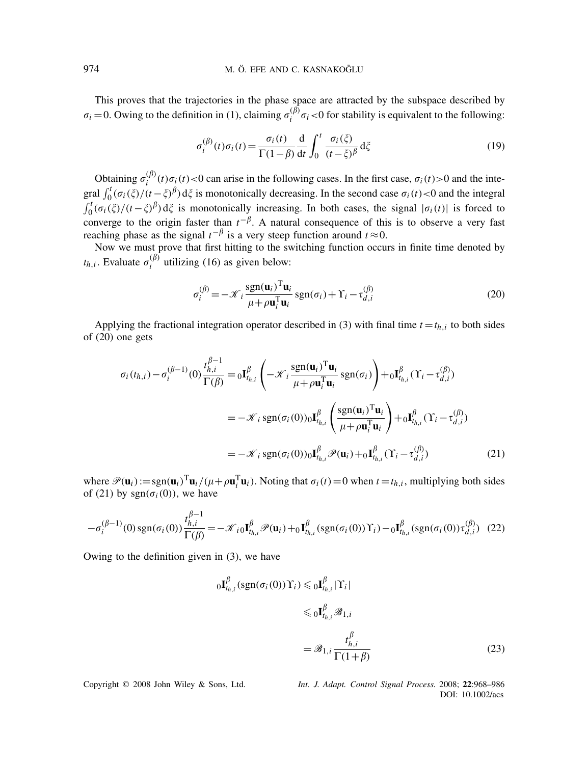This proves that the trajectories in the phase space are attracted by the subspace described by  $\sigma_i = 0$ . Owing to the definition in (1), claiming  $\sigma_i^{(\beta)} \sigma_i < 0$  for stability is equivalent to the following:

$$
\sigma_i^{(\beta)}(t)\sigma_i(t) = \frac{\sigma_i(t)}{\Gamma(1-\beta)} \frac{\mathrm{d}}{\mathrm{d}t} \int_0^t \frac{\sigma_i(\xi)}{(t-\xi)^{\beta}} \,\mathrm{d}\xi \tag{19}
$$

Obtaining  $\sigma_i^{(\beta)}(t)\sigma_i(t) < 0$  can arise in the following cases. In the first case,  $\sigma_i(t) > 0$  and the integral  $\int_0^t (\sigma_i(\xi)/(t-\xi)^{\beta}) d\xi$  is monotonically decreasing. In the second case  $\sigma_i(t) < 0$  and the integral  $\int_0^t (\sigma_i(\xi)/(t-\xi)^{\beta}) d\xi$  is monotonically increasing. In both cases, the signal  $|\sigma_i(t)|$  is forced to converge to the origin faster than  $t^{-\beta}$ . A natural consequence of this is to observe a very fast reaching phase as the signal  $t^{-\beta}$  is a very steep function around  $t \approx 0$ .

Now we must prove that first hitting to the switching function occurs in finite time denoted by  $t_{h,i}$ . Evaluate  $\sigma_i^{(\beta)}$  utilizing (16) as given below:

$$
\sigma_i^{(\beta)} = -\mathcal{K}_i \frac{\text{sgn}(\mathbf{u}_i)^{\text{T}} \mathbf{u}_i}{\mu + \rho \mathbf{u}_i^{\text{T}} \mathbf{u}_i} \text{sgn}(\sigma_i) + \Upsilon_i - \tau_{d,i}^{(\beta)}
$$
(20)

Applying the fractional integration operator described in (3) with final time  $t = t_{h,i}$  to both sides of (20) one gets

$$
\sigma_i(t_{h,i}) - \sigma_i^{(\beta - 1)}(0) \frac{t_{h,i}^{\beta - 1}}{\Gamma(\beta)} = 0 \mathbf{I}_{t_{h,i}}^{\beta} \left( -\mathcal{K}_i \frac{\text{sgn}(\mathbf{u}_i)^T \mathbf{u}_i}{\mu + \rho \mathbf{u}_i^T \mathbf{u}_i} \text{sgn}(\sigma_i) \right) + 0 \mathbf{I}_{t_{h,i}}^{\beta} (\Upsilon_i - \tau_{d,i}^{(\beta)})
$$
  
\n
$$
= -\mathcal{K}_i \text{sgn}(\sigma_i(0)) \mathbf{I}_{t_{h,i}}^{\beta} \left( \frac{\text{sgn}(\mathbf{u}_i)^T \mathbf{u}_i}{\mu + \rho \mathbf{u}_i^T \mathbf{u}_i} \right) + 0 \mathbf{I}_{t_{h,i}}^{\beta} (\Upsilon_i - \tau_{d,i}^{(\beta)})
$$
  
\n
$$
= -\mathcal{K}_i \text{sgn}(\sigma_i(0)) \mathbf{I}_{t_{h,i}}^{\beta} \mathcal{P}(\mathbf{u}_i) + 0 \mathbf{I}_{t_{h,i}}^{\beta} (\Upsilon_i - \tau_{d,i}^{(\beta)})
$$
(21)

where  $\mathcal{P}(\mathbf{u}_i) := \text{sgn}(\mathbf{u}_i)^T \mathbf{u}_i / (\mu + \rho \mathbf{u}_i^T \mathbf{u}_i)$ . Noting that  $\sigma_i(t) = 0$  when  $t = t_{h,i}$ , multiplying both sides of (21) by  $sgn(\sigma_i(0))$ , we have

$$
-\sigma_i^{(\beta-1)}(0)sgn(\sigma_i(0))\frac{t_{h,i}^{\beta-1}}{\Gamma(\beta)} = -\mathcal{K}_{i0}\mathbf{I}_{t_{h,i}}^{\beta}\mathcal{P}(\mathbf{u}_i) + \sigma_{t_{h,i}}^{\beta}(sgn(\sigma_i(0))\Upsilon_i) - \sigma_{t_{h,i}}^{\beta}(sgn(\sigma_i(0))\tau_{d,i}^{(\beta)})
$$
(22)

Owing to the definition given in (3), we have

$$
{}_{0}\mathbf{I}^{\beta}_{t_{h,i}}(\text{sgn}(\sigma_{i}(0))\Upsilon_{i}) \leqslant {}_{0}\mathbf{I}^{\beta}_{t_{h,i}}|\Upsilon_{i}|
$$
  

$$
\leqslant {}_{0}\mathbf{I}^{\beta}_{t_{h,i}}\mathscr{B}_{1,i}
$$
  

$$
= \mathscr{B}_{1,i}\frac{t^{\beta}_{h,i}}{\Gamma(1+\beta)}
$$
 (23)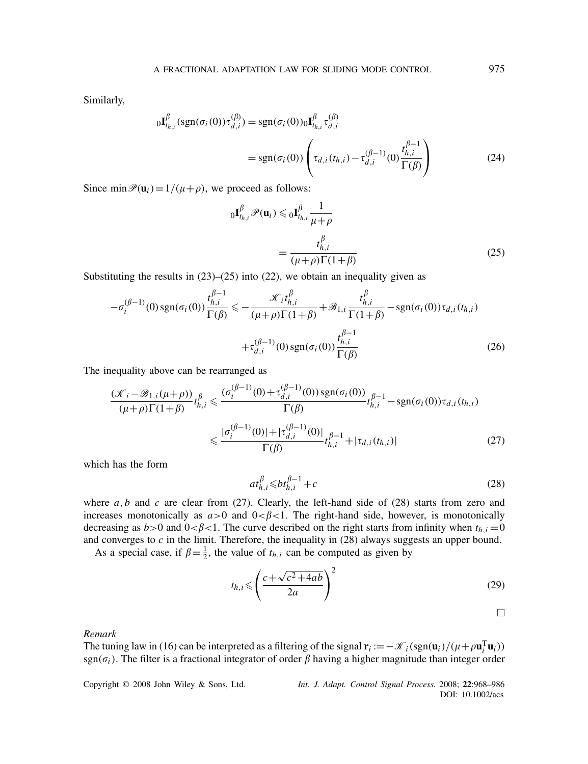Similarly,

$$
{}_{0}\mathbf{I}_{t_{h,i}}^{\beta}(\text{sgn}(\sigma_{i}(0))\tau_{d,i}^{(\beta)}) = \text{sgn}(\sigma_{i}(0)){}_{0}\mathbf{I}_{t_{h,i}}^{\beta}\tau_{d,i}^{(\beta)}
$$
  

$$
= \text{sgn}(\sigma_{i}(0))\left(\tau_{d,i}(t_{h,i}) - \tau_{d,i}^{(\beta-1)}(0)\frac{t_{h,i}^{\beta-1}}{\Gamma(\beta)}\right)
$$
(24)

Since  $\min \mathcal{P}(\mathbf{u}_i) = 1/(\mu + \rho)$ , we proceed as follows:

$$
{}_{0}\mathbf{I}_{t_{h,i}}^{\beta}\mathcal{P}(\mathbf{u}_{i}) \leqslant {}_{0}\mathbf{I}_{t_{h,i}}^{\beta}\frac{1}{\mu+\rho}
$$
\n
$$
= \frac{t_{h,i}^{\beta}}{(\mu+\rho)\Gamma(1+\beta)}
$$
\n(25)

Substituting the results in  $(23)$ – $(25)$  into  $(22)$ , we obtain an inequality given as

$$
-\sigma_{i}^{(\beta-1)}(0) \operatorname{sgn}(\sigma_{i}(0)) \frac{t_{h,i}^{\beta-1}}{\Gamma(\beta)} \le -\frac{\mathcal{K}_{i}t_{h,i}^{\beta}}{(\mu+\rho)\Gamma(1+\beta)} + \mathcal{B}_{1,i} \frac{t_{h,i}^{\beta}}{\Gamma(1+\beta)} - \operatorname{sgn}(\sigma_{i}(0))\tau_{d,i}(t_{h,i}) + \tau_{d,i}^{(\beta-1)}(0) \operatorname{sgn}(\sigma_{i}(0)) \frac{t_{h,i}^{\beta-1}}{\Gamma(\beta)} \tag{26}
$$

The inequality above can be rearranged as

$$
\frac{(\mathcal{K}_{i} - \mathcal{B}_{1,i}(\mu + \rho))}{(\mu + \rho)\Gamma(1 + \beta)} t_{h,i}^{\beta} \le \frac{(\sigma_{i}^{(\beta - 1)}(0) + \tau_{d,i}^{(\beta - 1)}(0)) \operatorname{sgn}(\sigma_{i}(0))}{\Gamma(\beta)} t_{h,i}^{\beta - 1} - \operatorname{sgn}(\sigma_{i}(0)) \tau_{d,i}(t_{h,i})
$$
\n
$$
\le \frac{|\sigma_{i}^{(\beta - 1)}(0)| + |\tau_{d,i}^{(\beta - 1)}(0)|}{\Gamma(\beta)} t_{h,i}^{\beta - 1} + |\tau_{d,i}(t_{h,i})| \tag{27}
$$

which has the form

$$
at_{h,i}^{\beta} \leqslant bt_{h,i}^{\beta-1} + c \tag{28}
$$

where  $a, b$  and  $c$  are clear from (27). Clearly, the left-hand side of (28) starts from zero and increases monotonically as  $a > 0$  and  $0 < \beta < 1$ . The right-hand side, however, is monotonically decreasing as  $b > 0$  and  $0 < \beta < 1$ . The curve described on the right starts from infinity when  $t_{h,i} = 0$ and converges to *c* in the limit. Therefore, the inequality in (28) always suggests an upper bound.

As a special case, if  $\beta = \frac{1}{2}$ , the value of  $t_{h,i}$  can be computed as given by

$$
t_{h,i} \leqslant \left(\frac{c + \sqrt{c^2 + 4ab}}{2a}\right)^2\tag{29}
$$

### *Remark*

The tuning law in (16) can be interpreted as a filtering of the signal  $\mathbf{r}_i := -\mathcal{K}_i(\text{sgn}(\mathbf{u}_i)/(\mu + \rho \mathbf{u}_i^{\text{T}} \mathbf{u}_i))$ sgn( $\sigma_i$ ). The filter is a fractional integrator of order  $\beta$  having a higher magnitude than integer order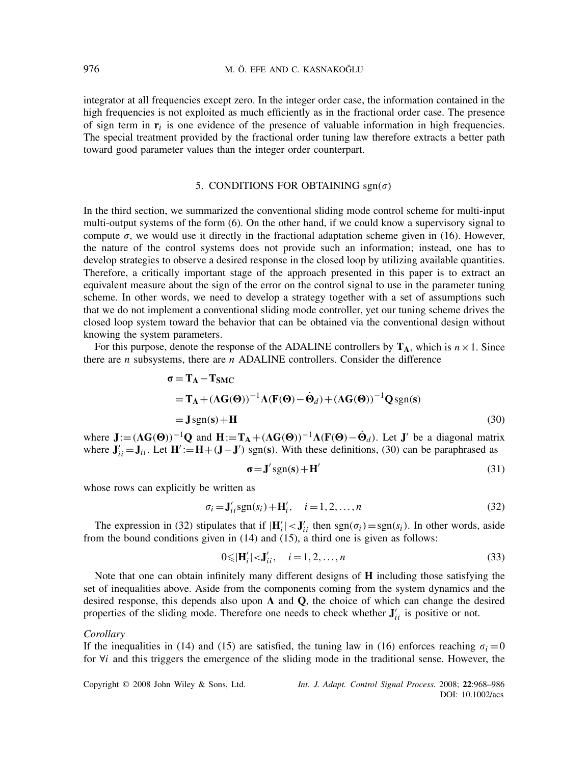integrator at all frequencies except zero. In the integer order case, the information contained in the high frequencies is not exploited as much efficiently as in the fractional order case. The presence of sign term in  $\mathbf{r}_i$  is one evidence of the presence of valuable information in high frequencies. The special treatment provided by the fractional order tuning law therefore extracts a better path toward good parameter values than the integer order counterpart.

## 5. CONDITIONS FOR OBTAINING  $sgn(\sigma)$

In the third section, we summarized the conventional sliding mode control scheme for multi-input multi-output systems of the form (6). On the other hand, if we could know a supervisory signal to compute  $\sigma$ , we would use it directly in the fractional adaptation scheme given in (16). However, the nature of the control systems does not provide such an information; instead, one has to develop strategies to observe a desired response in the closed loop by utilizing available quantities. Therefore, a critically important stage of the approach presented in this paper is to extract an equivalent measure about the sign of the error on the control signal to use in the parameter tuning scheme. In other words, we need to develop a strategy together with a set of assumptions such that we do not implement a conventional sliding mode controller, yet our tuning scheme drives the closed loop system toward the behavior that can be obtained via the conventional design without knowing the system parameters.

For this purpose, denote the response of the ADALINE controllers by  $T_A$ , which is  $n \times 1$ . Since there are *n* subsystems, there are *n* ADALINE controllers. Consider the difference

$$
\sigma = \mathbf{T}_{A} - \mathbf{T}_{SMC}
$$
  
=  $\mathbf{T}_{A} + (\Lambda \mathbf{G}(\Theta))^{-1} \Lambda (\mathbf{F}(\Theta) - \dot{\Theta}_{d}) + (\Lambda \mathbf{G}(\Theta))^{-1} \mathbf{Q}_{sgn(s)}$   
=  $\mathbf{J}_{sgn(s)} + \mathbf{H}$  (30)

where  $\mathbf{J} := (\Lambda \mathbf{G}(\mathbf{\Theta}))^{-1} \mathbf{Q}$  and  $\mathbf{H} := \mathbf{T}_{\mathbf{A}} + (\Lambda \mathbf{G}(\mathbf{\Theta}))^{-1} \Lambda(\mathbf{F}(\mathbf{\Theta}) - \dot{\mathbf{\Theta}}_d)$ . Let  $\mathbf{J}'$  be a diagonal matrix where  $J'_{ii} = J_{ii}$ . Let  $H' := H + (J - J')$  sgn(s). With these definitions, (30) can be paraphrased as

$$
\sigma = J' sgn(s) + H'
$$
 (31)

whose rows can explicitly be written as

$$
\sigma_i = \mathbf{J}'_{ii} \text{sgn}(s_i) + \mathbf{H}'_i, \quad i = 1, 2, \dots, n
$$
\n(32)

The expression in (32) stipulates that if  $|\mathbf{H}'_i| < \mathbf{J}'_{ii}$  then  $sgn(\sigma_i) = sgn(s_i)$ . In other words, aside from the bound conditions given in (14) and (15), a third one is given as follows:

$$
0 \leqslant |\mathbf{H}'_i| < \mathbf{J}'_{ii}, \quad i = 1, 2, \dots, n \tag{33}
$$

Note that one can obtain infinitely many different designs of **H** including those satisfying the set of inequalities above. Aside from the components coming from the system dynamics and the desired response, this depends also upon  $\Lambda$  and  $\Omega$ , the choice of which can change the desired properties of the sliding mode. Therefore one needs to check whether  $J'_{ii}$  is positive or not.

## *Corollary*

If the inequalities in (14) and (15) are satisfied, the tuning law in (16) enforces reaching  $\sigma_i = 0$ for ∀*i* and this triggers the emergence of the sliding mode in the traditional sense. However, the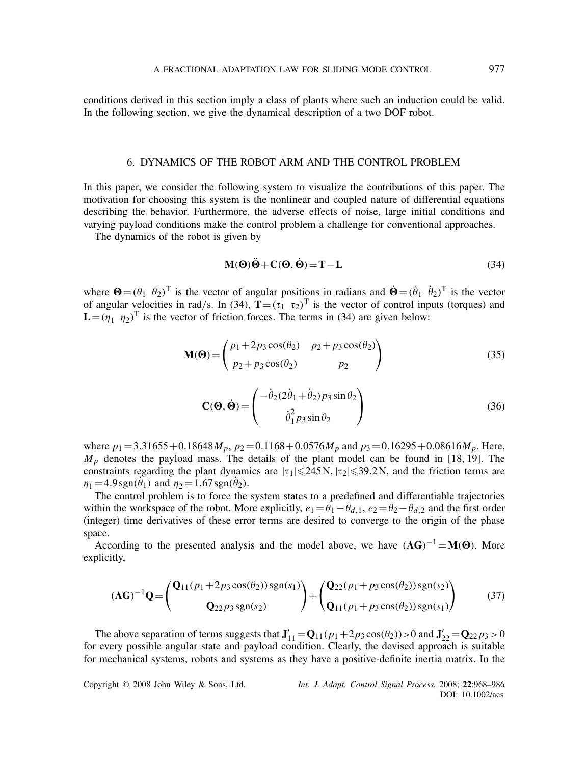conditions derived in this section imply a class of plants where such an induction could be valid. In the following section, we give the dynamical description of a two DOF robot.

## 6. DYNAMICS OF THE ROBOT ARM AND THE CONTROL PROBLEM

In this paper, we consider the following system to visualize the contributions of this paper. The motivation for choosing this system is the nonlinear and coupled nature of differential equations describing the behavior. Furthermore, the adverse effects of noise, large initial conditions and varying payload conditions make the control problem a challenge for conventional approaches.

The dynamics of the robot is given by

$$
M(\Theta)\ddot{\Theta} + C(\Theta, \dot{\Theta}) = T - L \tag{34}
$$

where  $\mathbf{\Theta} = (\theta_1 \ \theta_2)^T$  is the vector of angular positions in radians and  $\dot{\mathbf{\Theta}} = (\dot{\theta}_1 \ \dot{\theta}_2)^T$  is the vector of angular velocities in rad/s. In (34),  $T = (\tau_1 \tau_2)^T$  is the vector of control inputs (torques) and  $\mathbf{L} = (\eta_1, \eta_2)^T$  is the vector of friction forces. The terms in (34) are given below:

$$
\mathbf{M}(\mathbf{\Theta}) = \begin{pmatrix} p_1 + 2p_3 \cos(\theta_2) & p_2 + p_3 \cos(\theta_2) \\ p_2 + p_3 \cos(\theta_2) & p_2 \end{pmatrix}
$$
(35)

$$
\mathbf{C}(\mathbf{\Theta}, \dot{\mathbf{\Theta}}) = \begin{pmatrix} -\dot{\theta}_2 (2\dot{\theta}_1 + \dot{\theta}_2) p_3 \sin \theta_2 \\ \dot{\theta}_1^2 p_3 \sin \theta_2 \end{pmatrix}
$$
(36)

where  $p_1 = 3.31655 + 0.18648 M_p$ ,  $p_2 = 0.1168 + 0.0576 M_p$  and  $p_3 = 0.16295 + 0.08616 M_p$ . Here, *Mp* denotes the payload mass. The details of the plant model can be found in [18, 19]. The constraints regarding the plant dynamics are  $|\tau_1|$   $\leq$  245 N,  $|\tau_2|$   $\leq$  39.2 N, and the friction terms are  $\eta_1 = 4.9 \text{sgn}(\dot{\theta}_1)$  and  $\eta_2 = 1.67 \text{sgn}(\dot{\theta}_2)$ .

The control problem is to force the system states to a predefined and differentiable trajectories within the workspace of the robot. More explicitly,  $e_1 = \theta_1 - \theta_{d,1}$ ,  $e_2 = \theta_2 - \theta_{d,2}$  and the first order (integer) time derivatives of these error terms are desired to converge to the origin of the phase space.

According to the presented analysis and the model above, we have  $(AG)^{-1} = M(\Theta)$ . More explicitly,

$$
(\Lambda G)^{-1} Q = \begin{pmatrix} Q_{11}(p_1 + 2p_3 \cos(\theta_2)) \operatorname{sgn}(s_1) \\ Q_{22} p_3 \operatorname{sgn}(s_2) \end{pmatrix} + \begin{pmatrix} Q_{22}(p_1 + p_3 \cos(\theta_2)) \operatorname{sgn}(s_2) \\ Q_{11}(p_1 + p_3 \cos(\theta_2)) \operatorname{sgn}(s_1) \end{pmatrix}
$$
(37)

The above separation of terms suggests that  $J'_{11} = Q_{11}(p_1 + 2p_3 \cos(\theta_2)) > 0$  and  $J'_{22} = Q_{22}p_3 > 0$ for every possible angular state and payload condition. Clearly, the devised approach is suitable for mechanical systems, robots and systems as they have a positive-definite inertia matrix. In the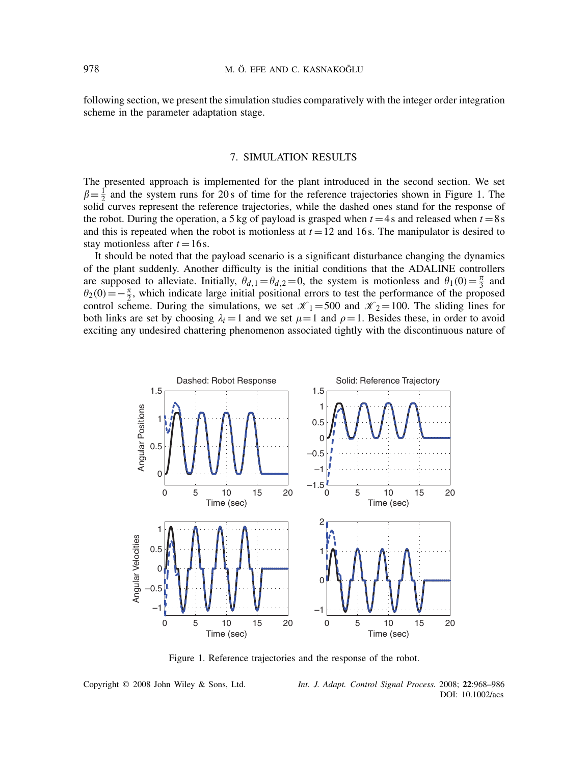following section, we present the simulation studies comparatively with the integer order integration scheme in the parameter adaptation stage.

# 7. SIMULATION RESULTS

The presented approach is implemented for the plant introduced in the second section. We set  $\beta = \frac{1}{2}$  and the system runs for 20 s of time for the reference trajectories shown in Figure 1. The solid curves represent the reference trajectories, while the dashed ones stand for the response of the robot. During the operation, a 5 kg of payload is grasped when  $t = 4$  s and released when  $t = 8$  s and this is repeated when the robot is motionless at  $t = 12$  and 16s. The manipulator is desired to stay motionless after  $t = 16$  s.

It should be noted that the payload scenario is a significant disturbance changing the dynamics of the plant suddenly. Another difficulty is the initial conditions that the ADALINE controllers are supposed to alleviate. Initially,  $\theta_{d,1} = \theta_{d,2} = 0$ , the system is motionless and  $\theta_1(0) = \frac{\pi}{3}$  and  $\theta_2(0) = -\frac{\pi}{2}$ , which indicate large initial positional errors to test the performance of the proposed control scheme. During the simulations, we set  $\mathcal{K}_1 = 500$  and  $\mathcal{K}_2 = 100$ . The sliding lines for both links are set by choosing  $\lambda_i = 1$  and we set  $\mu = 1$  and  $\rho = 1$ . Besides these, in order to avoid exciting any undesired chattering phenomenon associated tightly with the discontinuous nature of



Figure 1. Reference trajectories and the response of the robot.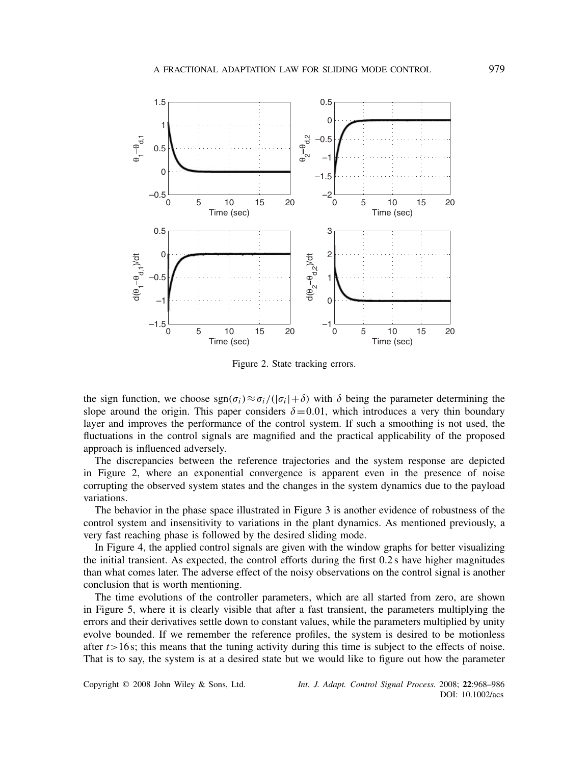

Figure 2. State tracking errors.

the sign function, we choose  $\text{sgn}(\sigma_i) \approx \sigma_i/(|\sigma_i| + \delta)$  with  $\delta$  being the parameter determining the slope around the origin. This paper considers  $\delta = 0.01$ , which introduces a very thin boundary layer and improves the performance of the control system. If such a smoothing is not used, the fluctuations in the control signals are magnified and the practical applicability of the proposed approach is influenced adversely.

The discrepancies between the reference trajectories and the system response are depicted in Figure 2, where an exponential convergence is apparent even in the presence of noise corrupting the observed system states and the changes in the system dynamics due to the payload variations.

The behavior in the phase space illustrated in Figure 3 is another evidence of robustness of the control system and insensitivity to variations in the plant dynamics. As mentioned previously, a very fast reaching phase is followed by the desired sliding mode.

In Figure 4, the applied control signals are given with the window graphs for better visualizing the initial transient. As expected, the control efforts during the first 0.2 s have higher magnitudes than what comes later. The adverse effect of the noisy observations on the control signal is another conclusion that is worth mentioning.

The time evolutions of the controller parameters, which are all started from zero, are shown in Figure 5, where it is clearly visible that after a fast transient, the parameters multiplying the errors and their derivatives settle down to constant values, while the parameters multiplied by unity evolve bounded. If we remember the reference profiles, the system is desired to be motionless after  $t$  > 16 s; this means that the tuning activity during this time is subject to the effects of noise. That is to say, the system is at a desired state but we would like to figure out how the parameter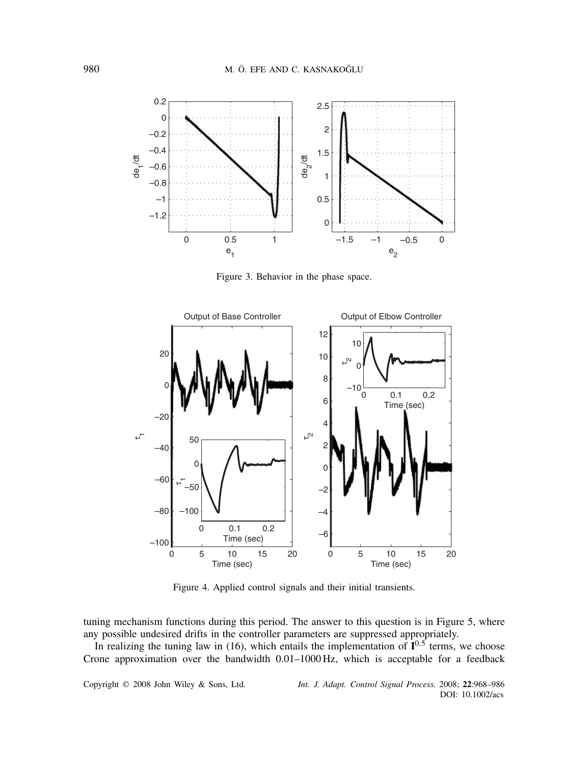

Figure 3. Behavior in the phase space.



Figure 4. Applied control signals and their initial transients.

tuning mechanism functions during this period. The answer to this question is in Figure 5, where any possible undesired drifts in the controller parameters are suppressed appropriately.

In realizing the tuning law in (16), which entails the implementation of  $I^{0.5}$  terms, we choose Crone approximation over the bandwidth 0.01–1000 Hz, which is acceptable for a feedback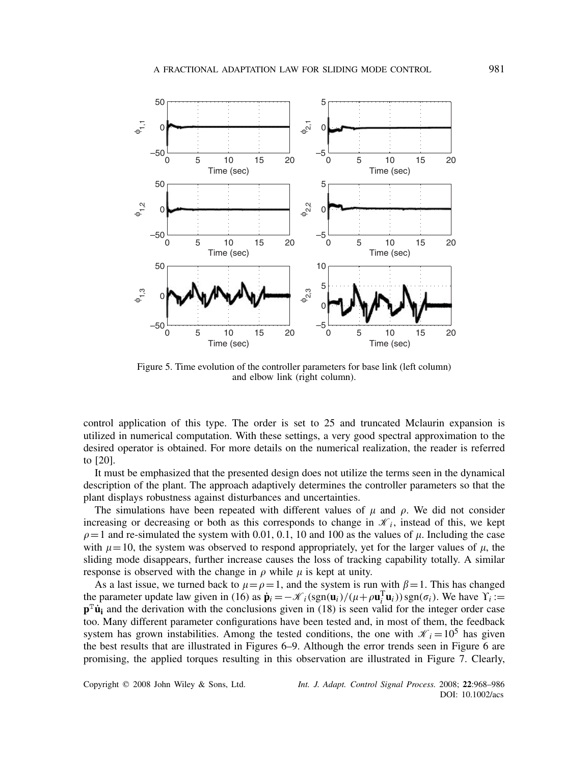

Figure 5. Time evolution of the controller parameters for base link (left column) and elbow link (right column).

control application of this type. The order is set to 25 and truncated Mclaurin expansion is utilized in numerical computation. With these settings, a very good spectral approximation to the desired operator is obtained. For more details on the numerical realization, the reader is referred to [20].

It must be emphasized that the presented design does not utilize the terms seen in the dynamical description of the plant. The approach adaptively determines the controller parameters so that the plant displays robustness against disturbances and uncertainties.

The simulations have been repeated with different values of  $\mu$  and  $\rho$ . We did not consider increasing or decreasing or both as this corresponds to change in  $\mathcal{K}_i$ , instead of this, we kept  $\rho = 1$  and re-simulated the system with 0.01, 0.1, 10 and 100 as the values of  $\mu$ . Including the case with  $\mu=10$ , the system was observed to respond appropriately, yet for the larger values of  $\mu$ , the sliding mode disappears, further increase causes the loss of tracking capability totally. A similar response is observed with the change in  $\rho$  while  $\mu$  is kept at unity.

As a last issue, we turned back to  $\mu = \rho = 1$ , and the system is run with  $\beta = 1$ . This has changed the parameter update law given in (16) as  $\dot{\mathbf{p}}_i = -\mathcal{K}_i(\text{sgn}(\mathbf{u}_i)/(\mu + \rho \mathbf{u}_i^{\text{T}} \mathbf{u}_i)) \text{sgn}(\sigma_i)$ . We have  $\Upsilon_i :=$  $p^T \dot{u}$  and the derivation with the conclusions given in (18) is seen valid for the integer order case too. Many different parameter configurations have been tested and, in most of them, the feedback system has grown instabilities. Among the tested conditions, the one with  $\mathcal{K}_i = 10^5$  has given the best results that are illustrated in Figures 6–9. Although the error trends seen in Figure 6 are promising, the applied torques resulting in this observation are illustrated in Figure 7. Clearly,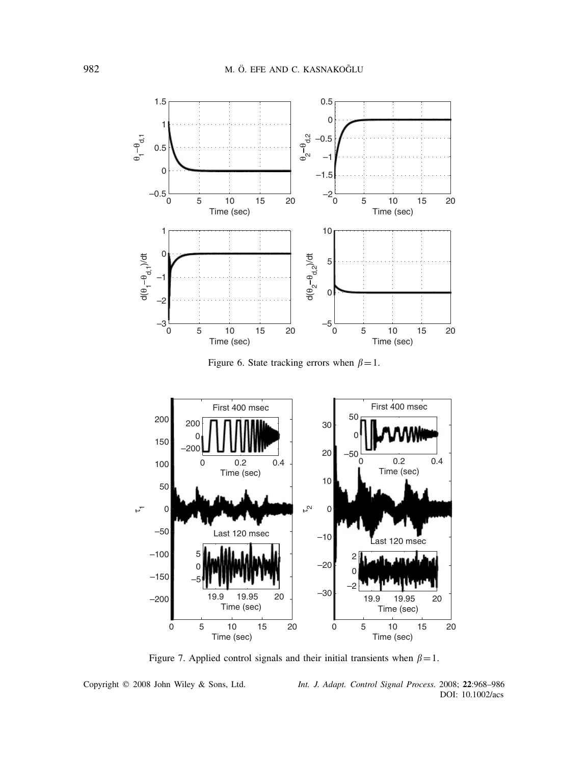

Figure 6. State tracking errors when  $\beta = 1$ .



Figure 7. Applied control signals and their initial transients when  $\beta = 1$ .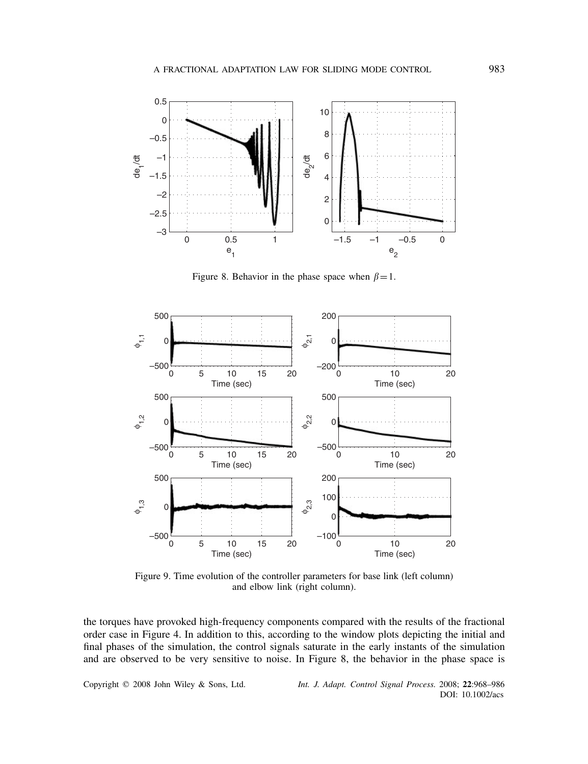

Figure 8. Behavior in the phase space when  $\beta = 1$ .



Figure 9. Time evolution of the controller parameters for base link (left column) and elbow link (right column).

the torques have provoked high-frequency components compared with the results of the fractional order case in Figure 4. In addition to this, according to the window plots depicting the initial and final phases of the simulation, the control signals saturate in the early instants of the simulation and are observed to be very sensitive to noise. In Figure 8, the behavior in the phase space is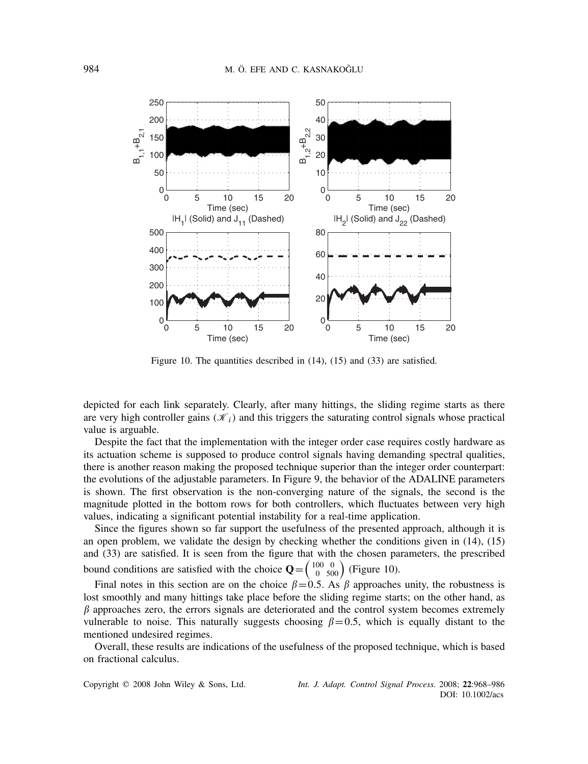

Figure 10. The quantities described in (14), (15) and (33) are satisfied.

depicted for each link separately. Clearly, after many hittings, the sliding regime starts as there are very high controller gains  $(K<sub>i</sub>)$  and this triggers the saturating control signals whose practical value is arguable.

Despite the fact that the implementation with the integer order case requires costly hardware as its actuation scheme is supposed to produce control signals having demanding spectral qualities, there is another reason making the proposed technique superior than the integer order counterpart: the evolutions of the adjustable parameters. In Figure 9, the behavior of the ADALINE parameters is shown. The first observation is the non-converging nature of the signals, the second is the magnitude plotted in the bottom rows for both controllers, which fluctuates between very high values, indicating a significant potential instability for a real-time application.

Since the figures shown so far support the usefulness of the presented approach, although it is an open problem, we validate the design by checking whether the conditions given in (14), (15) and (33) are satisfied. It is seen from the figure that with the chosen parameters, the prescribed bound conditions are satisfied with the choice  $Q = \begin{pmatrix} 100 \\ 0 \end{pmatrix}$  $\begin{pmatrix} 0 \\ 500 \end{pmatrix}$  (Figure 10).

Final notes in this section are on the choice  $\beta = 0.5$ . As  $\beta$  approaches unity, the robustness is lost smoothly and many hittings take place before the sliding regime starts; on the other hand, as  $\beta$  approaches zero, the errors signals are deteriorated and the control system becomes extremely vulnerable to noise. This naturally suggests choosing  $\beta$  =0.5, which is equally distant to the mentioned undesired regimes.

Overall, these results are indications of the usefulness of the proposed technique, which is based on fractional calculus.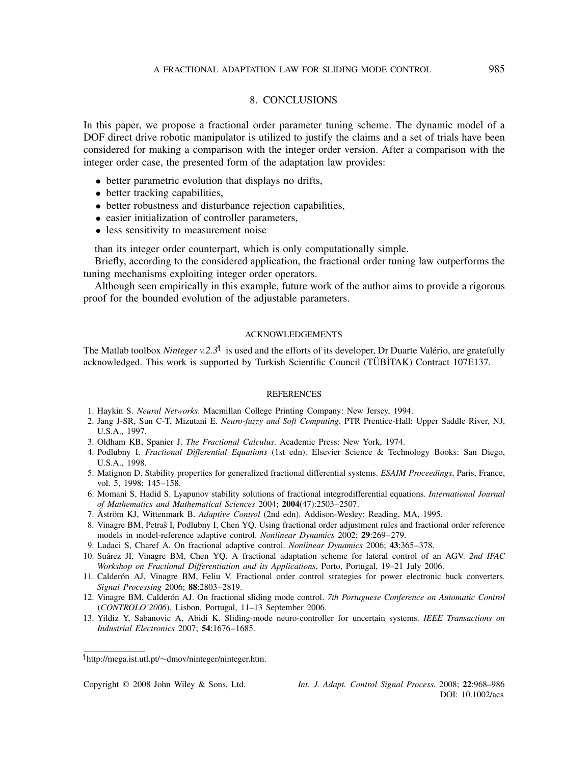# 8. CONCLUSIONS

In this paper, we propose a fractional order parameter tuning scheme. The dynamic model of a DOF direct drive robotic manipulator is utilized to justify the claims and a set of trials have been considered for making a comparison with the integer order version. After a comparison with the integer order case, the presented form of the adaptation law provides:

- better parametric evolution that displays no drifts,
- better tracking capabilities,
- better robustness and disturbance rejection capabilities,
- easier initialization of controller parameters,
- less sensitivity to measurement noise

than its integer order counterpart, which is only computationally simple.

Briefly, according to the considered application, the fractional order tuning law outperforms the tuning mechanisms exploiting integer order operators.

Although seen empirically in this example, future work of the author aims to provide a rigorous proof for the bounded evolution of the adjustable parameters.

#### ACKNOWLEDGEMENTS

The Matlab toolbox *Ninteger v.2.3*¶ is used and the efforts of its developer, Dr Duarte Valerio, are gratefully ´ acknowledged. This work is supported by Turkish Scientific Council (TÜBİTAK) Contract 107E137.

#### **REFERENCES**

- 1. Haykin S. *Neural Networks*. Macmillan College Printing Company: New Jersey, 1994.
- 2. Jang J-SR, Sun C-T, Mizutani E. *Neuro-fuzzy and Soft Computing*. PTR Prentice-Hall: Upper Saddle River, NJ, U.S.A., 1997.
- 3. Oldham KB, Spanier J. *The Fractional Calculus*. Academic Press: New York, 1974.
- 4. Podlubny I. *Fractional Differential Equations* (1st edn). Elsevier Science & Technology Books: San Diego, U.S.A., 1998.
- 5. Matignon D. Stability properties for generalized fractional differential systems. *ESAIM Proceedings*, Paris, France, vol. 5, 1998; 145–158.
- 6. Momani S, Hadid S. Lyapunov stability solutions of fractional integrodifferential equations. *International Journal of Mathematics and Mathematical Sciences* 2004; **2004**(47):2503–2507.
- 7. Åström KJ, Wittenmark B. *Adaptive Control* (2nd edn). Addison-Wesley: Reading, MA, 1995.
- 8. Vinagre BM, Petraš I, Podlubny I, Chen YQ. Using fractional order adjustment rules and fractional order reference models in model-reference adaptive control. *Nonlinear Dynamics* 2002; **29**:269–279.
- 9. Ladaci S, Charef A. On fractional adaptive control. *Nonlinear Dynamics* 2006; **43**:365–378.
- 10. Suárez JI, Vinagre BM, Chen YO. A fractional adaptation scheme for lateral control of an AGV. 2nd IFAC *Workshop on Fractional Differentiation and its Applications*, Porto, Portugal, 19–21 July 2006.
- 11. Calderón AJ, Vinagre BM, Feliu V. Fractional order control strategies for power electronic buck converters. *Signal Processing* 2006; **88**:2803–2819.
- 12. Vinagre BM, Calderón AJ. On fractional sliding mode control. 7th Portuguese Conference on Automatic Control *(CONTROLO'2006)*, Lisbon, Portugal, 11–13 September 2006.
- 13. Yildiz Y, Sabanovic A, Abidi K. Sliding-mode neuro-controller for uncertain systems. *IEEE Transactions on Industrial Electronics* 2007; **54**:1676–1685.

<sup>¶</sup> http://mega.ist.utl.pt/∼dmov/ninteger/ninteger.htm.